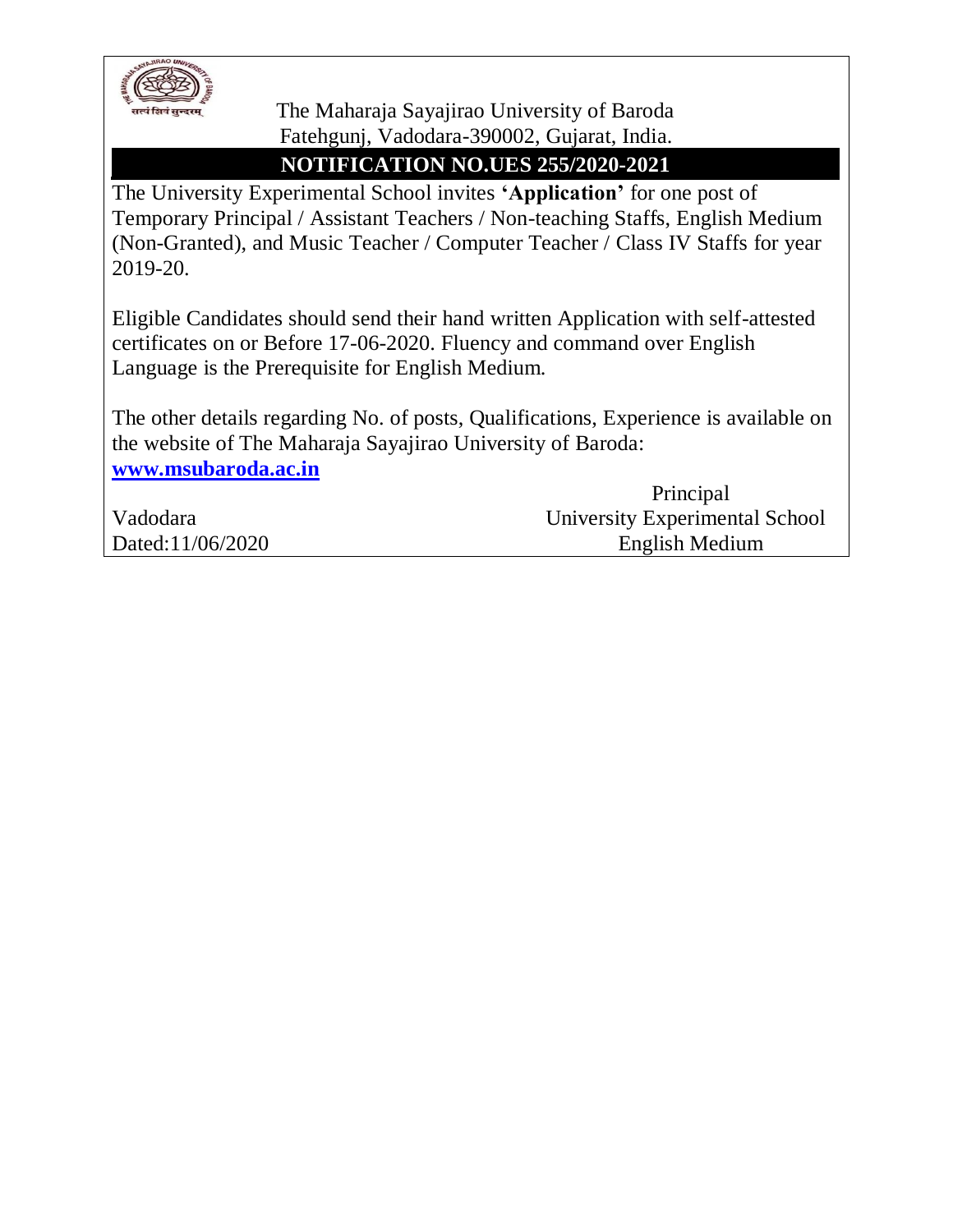

 The Maharaja Sayajirao University of Baroda Fatehgunj, Vadodara-390002, Gujarat, India.

## **NOTIFICATION NO.UES 255/2020-2021**

The University Experimental School invites **'Application'** for one post of Temporary Principal / Assistant Teachers / Non-teaching Staffs, English Medium (Non-Granted), and Music Teacher / Computer Teacher / Class IV Staffs for year 2019-20.

Eligible Candidates should send their hand written Application with self-attested certificates on or Before 17-06-2020. Fluency and command over English Language is the Prerequisite for English Medium.

The other details regarding No. of posts, Qualifications, Experience is available on the website of The Maharaja Sayajirao University of Baroda: **[www.msubaroda.ac.in](http://www.msubaroda.ac.in/)**

|                  | Principal                      |
|------------------|--------------------------------|
| Vadodara         | University Experimental School |
| Dated:11/06/2020 | English Medium                 |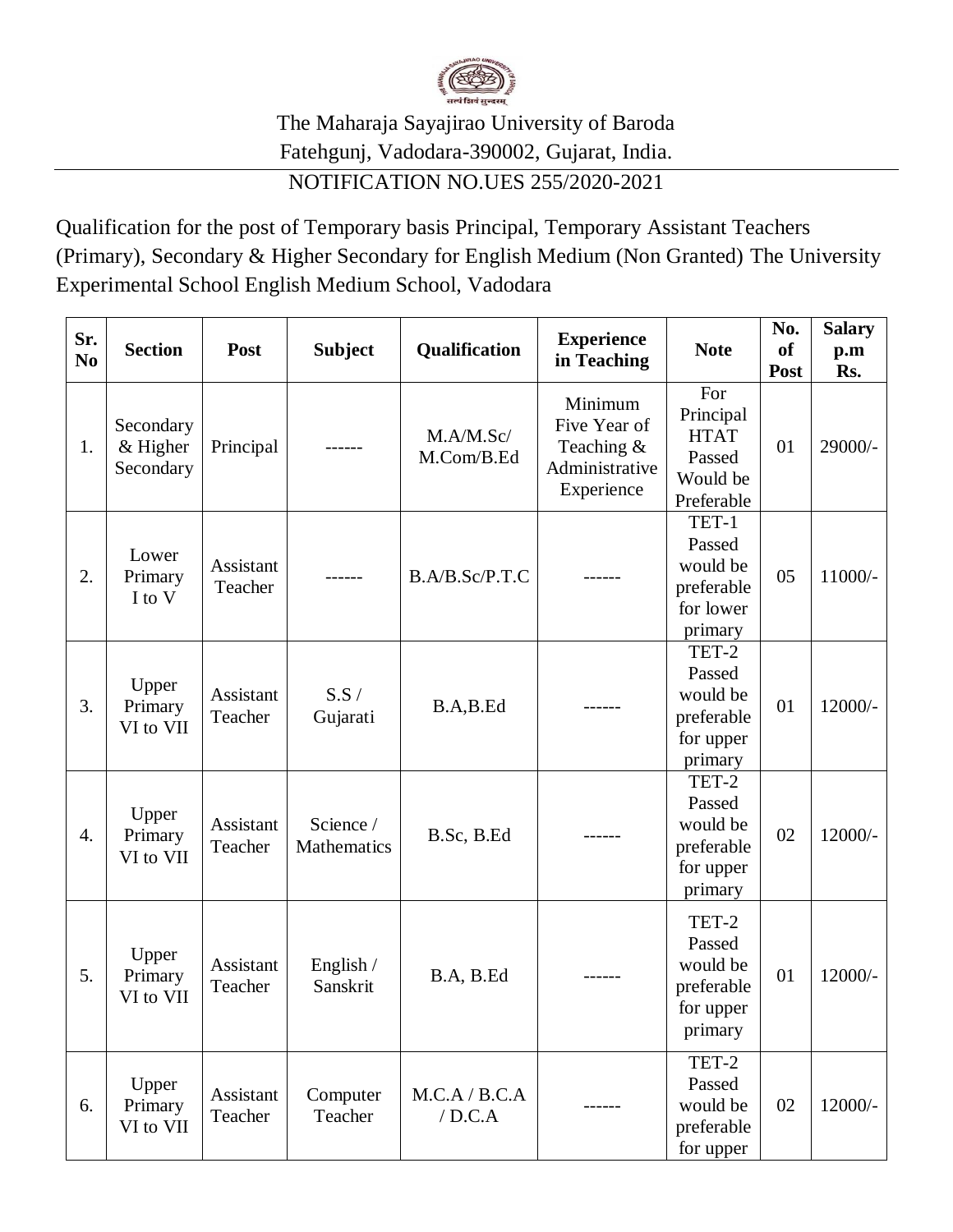

## The Maharaja Sayajirao University of Baroda Fatehgunj, Vadodara-390002, Gujarat, India.

## NOTIFICATION NO.UES 255/2020-2021

Qualification for the post of Temporary basis Principal, Temporary Assistant Teachers (Primary), Secondary & Higher Secondary for English Medium (Non Granted) The University Experimental School English Medium School, Vadodara

| Sr.<br>N <sub>0</sub> | <b>Section</b>                       | Post                 | <b>Subject</b>           | Qualification           | <b>Experience</b><br>in Teaching                                      | <b>Note</b>                                                         | No.<br><b>of</b><br>Post | <b>Salary</b><br>p.m<br>Rs. |
|-----------------------|--------------------------------------|----------------------|--------------------------|-------------------------|-----------------------------------------------------------------------|---------------------------------------------------------------------|--------------------------|-----------------------------|
| 1.                    | Secondary<br>$&$ Higher<br>Secondary | Principal            |                          | M.A/M.Sc/<br>M.Com/B.Ed | Minimum<br>Five Year of<br>Teaching &<br>Administrative<br>Experience | For<br>Principal<br><b>HTAT</b><br>Passed<br>Would be<br>Preferable | 01                       | 29000/-                     |
| 2.                    | Lower<br>Primary<br>I to V           | Assistant<br>Teacher |                          | B.A/B.Sc/P.T.C          |                                                                       | TET-1<br>Passed<br>would be<br>preferable<br>for lower<br>primary   | 05                       | $11000/-$                   |
| 3.                    | Upper<br>Primary<br>VI to VII        | Assistant<br>Teacher | S.S/<br>Gujarati         | B.A,B.Ed                |                                                                       | TET-2<br>Passed<br>would be<br>preferable<br>for upper<br>primary   | 01                       | $12000/-$                   |
| 4.                    | Upper<br>Primary<br>VI to VII        | Assistant<br>Teacher | Science /<br>Mathematics | B.Sc, B.Ed              |                                                                       | TET-2<br>Passed<br>would be<br>preferable<br>for upper<br>primary   | 02                       | 12000/-                     |
| 5.                    | Upper<br>Primary<br>VI to VII        | Assistant<br>Teacher | English /<br>Sanskrit    | B.A, B.Ed               |                                                                       | TET-2<br>Passed<br>would be<br>preferable<br>for upper<br>primary   | 01                       | 12000/-                     |
| 6.                    | Upper<br>Primary<br>VI to VII        | Assistant<br>Teacher | Computer<br>Teacher      | M.C.A / B.C.A<br>/D.C.A |                                                                       | TET-2<br>Passed<br>would be<br>preferable<br>for upper              | 02                       | $12000/-$                   |